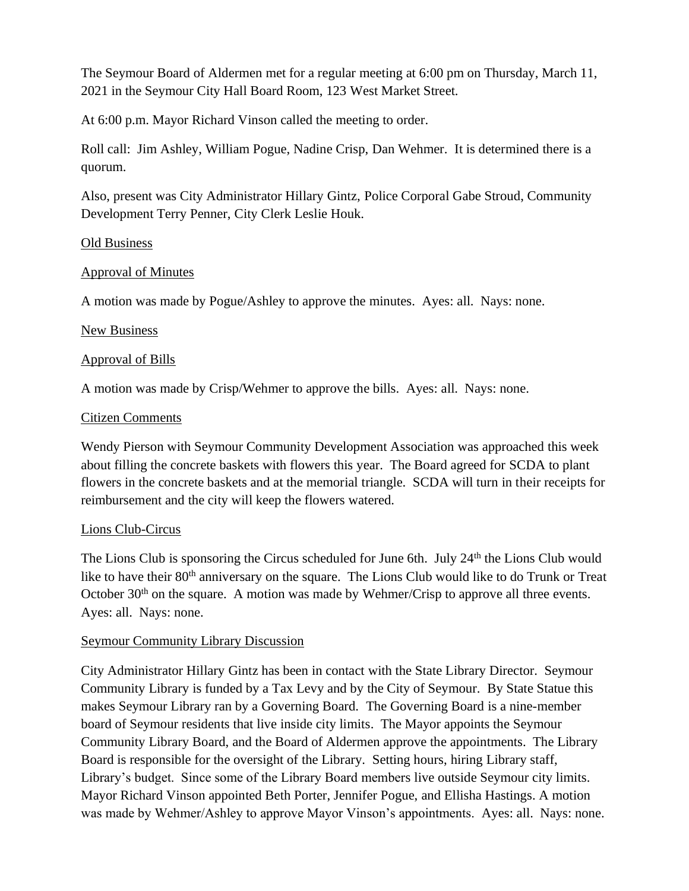The Seymour Board of Aldermen met for a regular meeting at 6:00 pm on Thursday, March 11, 2021 in the Seymour City Hall Board Room, 123 West Market Street.

At 6:00 p.m. Mayor Richard Vinson called the meeting to order.

Roll call: Jim Ashley, William Pogue, Nadine Crisp, Dan Wehmer. It is determined there is a quorum.

Also, present was City Administrator Hillary Gintz, Police Corporal Gabe Stroud, Community Development Terry Penner, City Clerk Leslie Houk.

### Old Business

## Approval of Minutes

A motion was made by Pogue/Ashley to approve the minutes. Ayes: all. Nays: none.

### New Business

## Approval of Bills

A motion was made by Crisp/Wehmer to approve the bills. Ayes: all. Nays: none.

### Citizen Comments

Wendy Pierson with Seymour Community Development Association was approached this week about filling the concrete baskets with flowers this year. The Board agreed for SCDA to plant flowers in the concrete baskets and at the memorial triangle. SCDA will turn in their receipts for reimbursement and the city will keep the flowers watered.

### Lions Club-Circus

The Lions Club is sponsoring the Circus scheduled for June 6th. July  $24<sup>th</sup>$  the Lions Club would like to have their 80<sup>th</sup> anniversary on the square. The Lions Club would like to do Trunk or Treat October 30<sup>th</sup> on the square. A motion was made by Wehmer/Crisp to approve all three events. Ayes: all. Nays: none.

### Seymour Community Library Discussion

City Administrator Hillary Gintz has been in contact with the State Library Director. Seymour Community Library is funded by a Tax Levy and by the City of Seymour. By State Statue this makes Seymour Library ran by a Governing Board. The Governing Board is a nine-member board of Seymour residents that live inside city limits. The Mayor appoints the Seymour Community Library Board, and the Board of Aldermen approve the appointments. The Library Board is responsible for the oversight of the Library. Setting hours, hiring Library staff, Library's budget. Since some of the Library Board members live outside Seymour city limits. Mayor Richard Vinson appointed Beth Porter, Jennifer Pogue, and Ellisha Hastings. A motion was made by Wehmer/Ashley to approve Mayor Vinson's appointments. Ayes: all. Nays: none.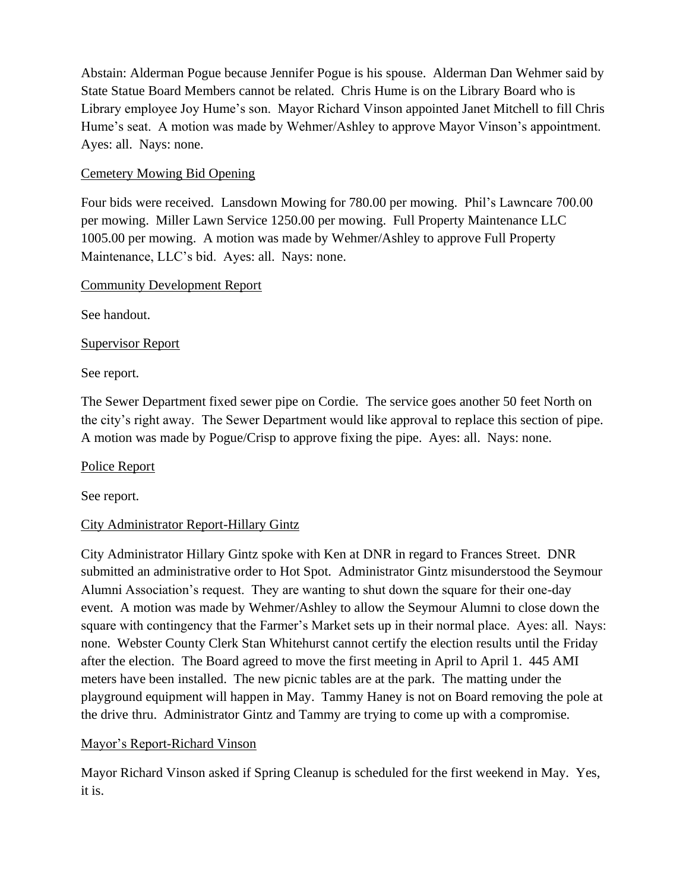Abstain: Alderman Pogue because Jennifer Pogue is his spouse. Alderman Dan Wehmer said by State Statue Board Members cannot be related. Chris Hume is on the Library Board who is Library employee Joy Hume's son. Mayor Richard Vinson appointed Janet Mitchell to fill Chris Hume's seat. A motion was made by Wehmer/Ashley to approve Mayor Vinson's appointment. Ayes: all. Nays: none.

# Cemetery Mowing Bid Opening

Four bids were received. Lansdown Mowing for 780.00 per mowing. Phil's Lawncare 700.00 per mowing. Miller Lawn Service 1250.00 per mowing. Full Property Maintenance LLC 1005.00 per mowing. A motion was made by Wehmer/Ashley to approve Full Property Maintenance, LLC's bid. Ayes: all. Nays: none.

## Community Development Report

See handout.

# Supervisor Report

See report.

The Sewer Department fixed sewer pipe on Cordie. The service goes another 50 feet North on the city's right away. The Sewer Department would like approval to replace this section of pipe. A motion was made by Pogue/Crisp to approve fixing the pipe. Ayes: all. Nays: none.

Police Report

See report.

# City Administrator Report-Hillary Gintz

City Administrator Hillary Gintz spoke with Ken at DNR in regard to Frances Street. DNR submitted an administrative order to Hot Spot. Administrator Gintz misunderstood the Seymour Alumni Association's request. They are wanting to shut down the square for their one-day event. A motion was made by Wehmer/Ashley to allow the Seymour Alumni to close down the square with contingency that the Farmer's Market sets up in their normal place. Ayes: all. Nays: none. Webster County Clerk Stan Whitehurst cannot certify the election results until the Friday after the election. The Board agreed to move the first meeting in April to April 1. 445 AMI meters have been installed. The new picnic tables are at the park. The matting under the playground equipment will happen in May. Tammy Haney is not on Board removing the pole at the drive thru. Administrator Gintz and Tammy are trying to come up with a compromise.

# Mayor's Report-Richard Vinson

Mayor Richard Vinson asked if Spring Cleanup is scheduled for the first weekend in May. Yes, it is.